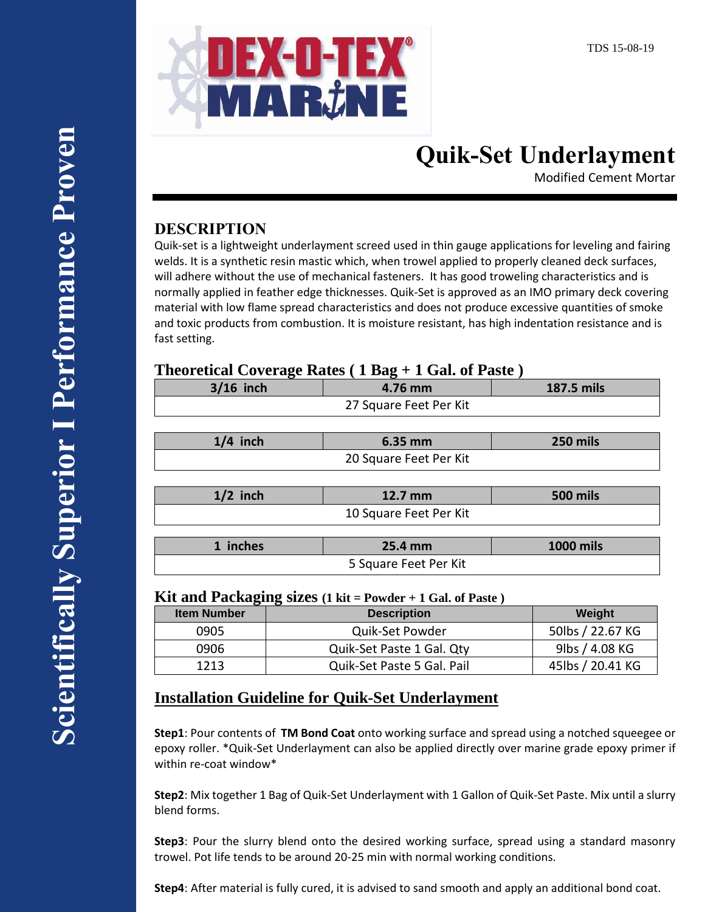

# **Quik-Set Underlayment**

Modified Cement Mortar

## **DESCRIPTION**

Quik-set is a lightweight underlayment screed used in thin gauge applications for leveling and fairing welds. It is a synthetic resin mastic which, when trowel applied to properly cleaned deck surfaces, will adhere without the use of mechanical fasteners. It has good troweling characteristics and is normally applied in feather edge thicknesses. Quik-Set is approved as an IMO primary deck covering material with low flame spread characteristics and does not produce excessive quantities of smoke and toxic products from combustion. It is moisture resistant, has high indentation resistance and is fast setting.

#### **Theoretical Coverage Rates ( 1 Bag + 1 Gal. of Paste )**

| Ð<br>$3/16$ inch       | 4.76 mm | 187.5 mils       |  |  |  |  |
|------------------------|---------|------------------|--|--|--|--|
| 27 Square Feet Per Kit |         |                  |  |  |  |  |
|                        |         |                  |  |  |  |  |
| $1/4$ inch             | 6.35 mm | 250 mils         |  |  |  |  |
| 20 Square Feet Per Kit |         |                  |  |  |  |  |
|                        |         |                  |  |  |  |  |
| $1/2$ inch             | 12.7 mm | <b>500 mils</b>  |  |  |  |  |
| 10 Square Feet Per Kit |         |                  |  |  |  |  |
|                        |         |                  |  |  |  |  |
| 1 inches               | 25.4 mm | <b>1000 mils</b> |  |  |  |  |
| 5 Square Feet Per Kit  |         |                  |  |  |  |  |

#### **Kit and Packaging sizes (1 kit = Powder + 1 Gal. of Paste )**

| <b>Item Number</b> | <b>Description</b>         | Weight           |
|--------------------|----------------------------|------------------|
| 0905               | Quik-Set Powder            | 50lbs / 22.67 KG |
| 0906               | Quik-Set Paste 1 Gal. Qty  | 9lbs / 4.08 KG   |
| 1213               | Quik-Set Paste 5 Gal. Pail | 45lbs / 20.41 KG |

### **Installation Guideline for Quik-Set Underlayment**

**Step1**: Pour contents of **TM Bond Coat** onto working surface and spread using a notched squeegee or epoxy roller. \*Quik-Set Underlayment can also be applied directly over marine grade epoxy primer if within re-coat window\*

**Step2**: Mix together 1 Bag of Quik-Set Underlayment with 1 Gallon of Quik-Set Paste. Mix until a slurry blend forms.

**Step3**: Pour the slurry blend onto the desired working surface, spread using a standard masonry trowel. Pot life tends to be around 20-25 min with normal working conditions.

**Step4**: After material is fully cured, it is advised to sand smooth and apply an additional bond coat.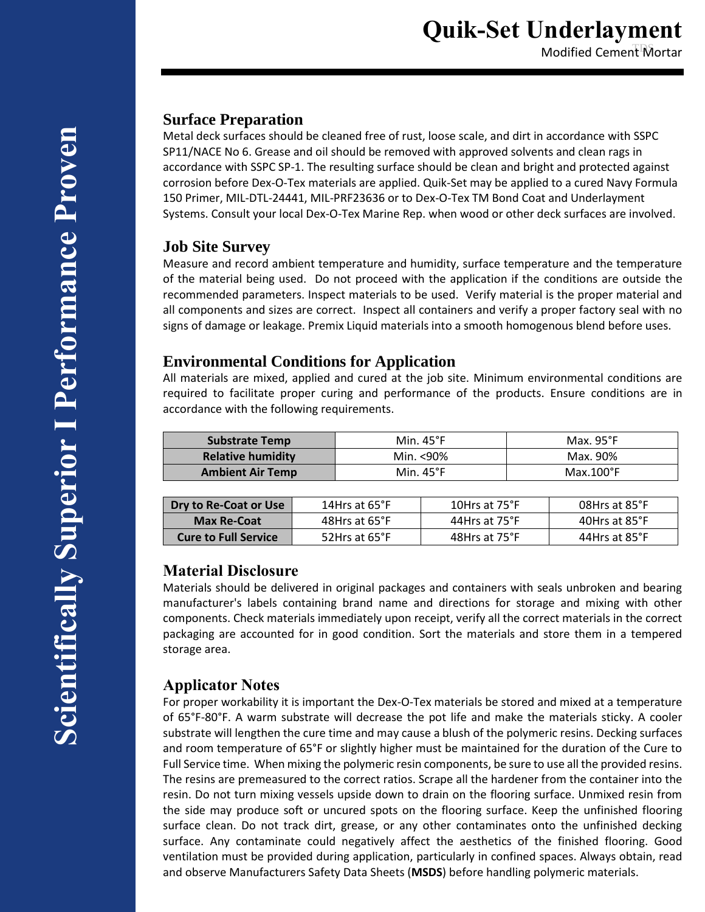Modified Cement Mortar

#### **Surface Preparation**

Metal deck surfaces should be cleaned free of rust, loose scale, and dirt in accordance with SSPC SP11/NACE No 6. Grease and oil should be removed with approved solvents and clean rags in accordance with SSPC SP-1. The resulting surface should be clean and bright and protected against corrosion before Dex-O-Tex materials are applied. Quik-Set may be applied to a cured Navy Formula 150 Primer, MIL-DTL-24441, MIL-PRF23636 or to Dex-O-Tex TM Bond Coat and Underlayment Systems. Consult your local Dex-O-Tex Marine Rep. when wood or other deck surfaces are involved.

#### **Job Site Survey**

Measure and record ambient temperature and humidity, surface temperature and the temperature of the material being used. Do not proceed with the application if the conditions are outside the recommended parameters. Inspect materials to be used. Verify material is the proper material and all components and sizes are correct. Inspect all containers and verify a proper factory seal with no signs of damage or leakage. Premix Liquid materials into a smooth homogenous blend before uses.

#### **Environmental Conditions for Application**

All materials are mixed, applied and cured at the job site. Minimum environmental conditions are required to facilitate proper curing and performance of the products. Ensure conditions are in accordance with the following requirements.

| <b>Substrate Temp</b>    | Min. $45^{\circ}$ F | Max. $95^{\circ}F$ |
|--------------------------|---------------------|--------------------|
| <b>Relative humidity</b> | Min. <90%           | Max. 90%           |
| <b>Ambient Air Temp</b>  | Min. $45^{\circ}$ F | $Max.100^{\circ}F$ |
|                          |                     |                    |

| Dry to Re-Coat or Use       | 14Hrs at 65°F | 10Hrs at 75°F | 08Hrs at 85°F |
|-----------------------------|---------------|---------------|---------------|
| <b>Max Re-Coat</b>          | 48Hrs at 65°F | 44Hrs at 75°F | 40Hrs at 85°F |
| <b>Cure to Full Service</b> | 52Hrs at 65°F | 48Hrs at 75°F | 44Hrs at 85°F |

#### **Material Disclosure**

Materials should be delivered in original packages and containers with seals unbroken and bearing manufacturer's labels containing brand name and directions for storage and mixing with other components. Check materials immediately upon receipt, verify all the correct materials in the correct packaging are accounted for in good condition. Sort the materials and store them in a tempered storage area.

#### **Applicator Notes**

For proper workability it is important the Dex-O-Tex materials be stored and mixed at a temperature of 65°F-80°F. A warm substrate will decrease the pot life and make the materials sticky. A cooler substrate will lengthen the cure time and may cause a blush of the polymeric resins. Decking surfaces and room temperature of 65°F or slightly higher must be maintained for the duration of the Cure to Full Service time. When mixing the polymeric resin components, be sure to use all the provided resins. The resins are premeasured to the correct ratios. Scrape all the hardener from the container into the resin. Do not turn mixing vessels upside down to drain on the flooring surface. Unmixed resin from the side may produce soft or uncured spots on the flooring surface. Keep the unfinished flooring surface clean. Do not track dirt, grease, or any other contaminates onto the unfinished decking surface. Any contaminate could negatively affect the aesthetics of the finished flooring. Good ventilation must be provided during application, particularly in confined spaces. Always obtain, read and observe Manufacturers Safety Data Sheets (**MSDS**) before handling polymeric materials.